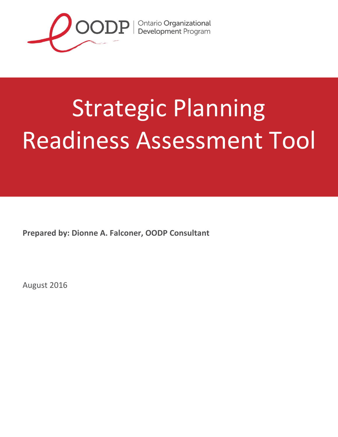

# **Strategic Planning** and iness Assessment Too Readiness Assessment Tool

**Prepared by: Dionne A. Falconer, OODP Consultant**

August 2016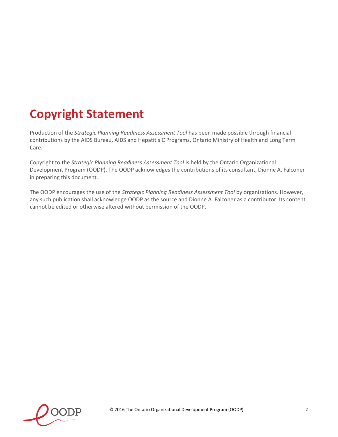# **Copyright Statement**

Production of the *Strategic Planning Readiness Assessment Tool* has been made possible through financial contributions by the AIDS Bureau, AIDS and Hepatitis C Programs, Ontario Ministry of Health and Long Term Care.

Copyright to the *Strategic Planning Readiness Assessment Tool* is held by the Ontario Organizational Development Program (OODP). The OODP acknowledges the contributions of its consultant, Dionne A. Falconer in preparing this document.

The OODP encourages the use of the *Strategic Planning Readiness Assessment Tool* by organizations. However, any such publication shall acknowledge OODP as the source and Dionne A. Falconer as a contributor. Its content cannot be edited or otherwise altered without permission of the OODP.

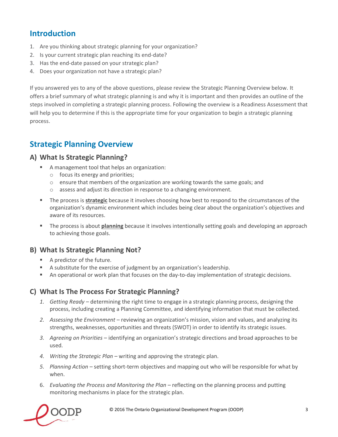## **Introduction**

- 1. Are you thinking about strategic planning for your organization?
- 2. Is your current strategic plan reaching its end-date?
- 3. Has the end-date passed on your strategic plan?
- 4. Does your organization not have a strategic plan?

If you answered yes to any of the above questions, please review the Strategic Planning Overview below. It offers a brief summary of what strategic planning is and why it is important and then provides an outline of the steps involved in completing a strategic planning process. Following the overview is a Readiness Assessment that will help you to determine if this is the appropriate time for your organization to begin a strategic planning process.

### **Strategic Planning Overview**

#### **A) What Is Strategic Planning?**

- A management tool that helps an organization:
	- o focus its energy and priorities;
	- $\circ$  ensure that members of the organization are working towards the same goals; and
	- o assess and adjust its direction in response to a changing environment.
- The process is **strategic** because it involves choosing how best to respond to the circumstances of the organization's dynamic environment which includes being clear about the organization's objectives and aware of its resources.
- The process is about **planning** because it involves intentionally setting goals and developing an approach to achieving those goals.

#### **B) What Is Strategic Planning Not?**

- A predictor of the future.
- A substitute for the exercise of judgment by an organization's leadership.
- An operational or work plan that focuses on the day-to-day implementation of strategic decisions.

#### **C) What Is The Process For Strategic Planning?**

- *1. Getting Ready*  determining the right time to engage in a strategic planning process, designing the process, including creating a Planning Committee, and identifying information that must be collected.
- *2. Assessing the Environment* reviewing an organization's mission, vision and values, and analyzing its strengths, weaknesses, opportunities and threats (SWOT) in order to identify its strategic issues.
- *3. Agreeing on Priorities* identifying an organization's strategic directions and broad approaches to be used.
- *4. Writing the Strategic Plan* writing and approving the strategic plan.
- *5. Planning Action* setting short-term objectives and mapping out who will be responsible for what by when.
- 6. *Evaluating the Process and Monitoring the Plan* reflecting on the planning process and putting monitoring mechanisms in place for the strategic plan.

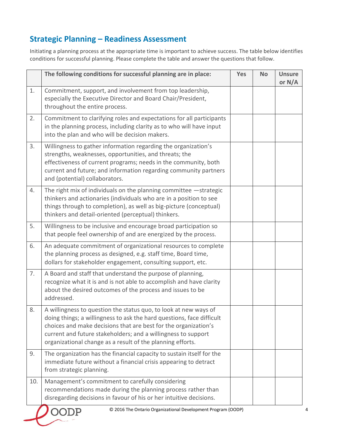# **Strategic Planning – Readiness Assessment**

Initiating a planning process at the appropriate time is important to achieve success. The table below identifies conditions for successful planning. Please complete the table and answer the questions that follow.

|     | The following conditions for successful planning are in place:                                                                                                                                                                                                                                                                              | Yes | <b>No</b> | <b>Unsure</b><br>or N/A |
|-----|---------------------------------------------------------------------------------------------------------------------------------------------------------------------------------------------------------------------------------------------------------------------------------------------------------------------------------------------|-----|-----------|-------------------------|
| 1.  | Commitment, support, and involvement from top leadership,<br>especially the Executive Director and Board Chair/President,<br>throughout the entire process.                                                                                                                                                                                 |     |           |                         |
| 2.  | Commitment to clarifying roles and expectations for all participants<br>in the planning process, including clarity as to who will have input<br>into the plan and who will be decision makers.                                                                                                                                              |     |           |                         |
| 3.  | Willingness to gather information regarding the organization's<br>strengths, weaknesses, opportunities, and threats; the<br>effectiveness of current programs; needs in the community, both<br>current and future; and information regarding community partners<br>and (potential) collaborators.                                           |     |           |                         |
| 4.  | The right mix of individuals on the planning committee -strategic<br>thinkers and actionaries (individuals who are in a position to see<br>things through to completion), as well as big-picture (conceptual)<br>thinkers and detail-oriented (perceptual) thinkers.                                                                        |     |           |                         |
| 5.  | Willingness to be inclusive and encourage broad participation so<br>that people feel ownership of and are energized by the process.                                                                                                                                                                                                         |     |           |                         |
| 6.  | An adequate commitment of organizational resources to complete<br>the planning process as designed, e.g. staff time, Board time,<br>dollars for stakeholder engagement, consulting support, etc.                                                                                                                                            |     |           |                         |
| 7.  | A Board and staff that understand the purpose of planning,<br>recognize what it is and is not able to accomplish and have clarity<br>about the desired outcomes of the process and issues to be<br>addressed.                                                                                                                               |     |           |                         |
| 8.  | A willingness to question the status quo, to look at new ways of<br>doing things; a willingness to ask the hard questions, face difficult<br>choices and make decisions that are best for the organization's<br>current and future stakeholders; and a willingness to support<br>organizational change as a result of the planning efforts. |     |           |                         |
| 9.  | The organization has the financial capacity to sustain itself for the<br>immediate future without a financial crisis appearing to detract<br>from strategic planning.                                                                                                                                                                       |     |           |                         |
| 10. | Management's commitment to carefully considering<br>recommendations made during the planning process rather than<br>disregarding decisions in favour of his or her intuitive decisions.                                                                                                                                                     |     |           |                         |